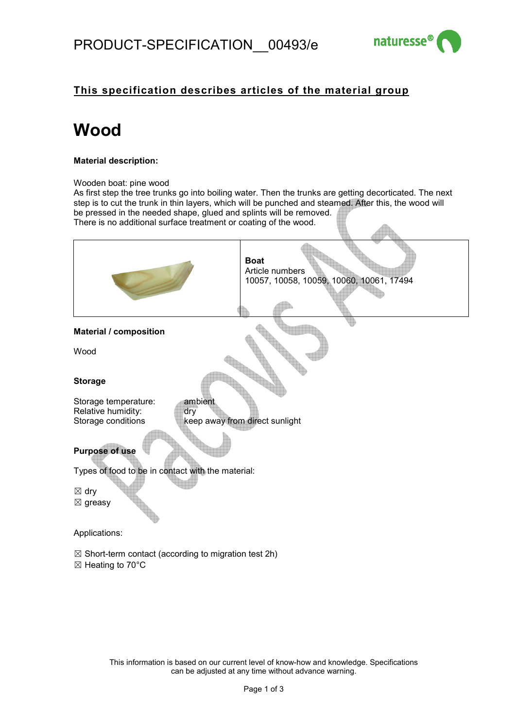

### **This specification describes articles of the material group**

# **Wood**

#### **Material description:**

Wooden boat: pine wood

As first step the tree trunks go into boiling water. Then the trunks are getting decorticated. The next step is to cut the trunk in thin layers, which will be punched and steamed. After this, the wood will be pressed in the needed shape, glued and splints will be removed. There is no additional surface treatment or coating of the wood.  $\Box$ 

|                                                                                    | <b>Boat</b><br>Article numbers<br>10057, 10058, 10059, 10060, 10061, 17494 |  |
|------------------------------------------------------------------------------------|----------------------------------------------------------------------------|--|
|                                                                                    |                                                                            |  |
| <b>Material / composition</b>                                                      |                                                                            |  |
| Wood                                                                               |                                                                            |  |
| <b>Storage</b>                                                                     |                                                                            |  |
| Storage temperature:<br>ambient<br>Relative humidity:<br>dry<br>Storage conditions | keep away from direct sunlight                                             |  |
| <b>Purpose of use</b>                                                              |                                                                            |  |
| Types of food to be in contact with the material:                                  |                                                                            |  |
| $\boxtimes$ dry<br>$\boxtimes$ greasy                                              |                                                                            |  |
| Applications:                                                                      |                                                                            |  |

 $\boxtimes$  Short-term contact (according to migration test 2h)

☒ Heating to 70°C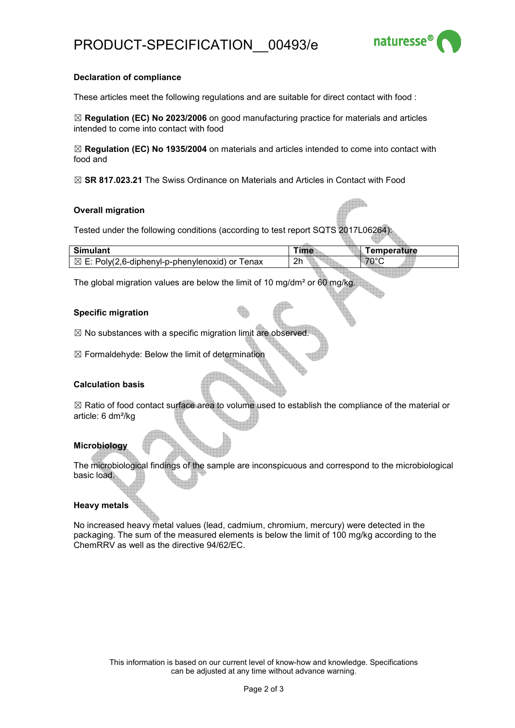

#### **Declaration of compliance**

These articles meet the following regulations and are suitable for direct contact with food :

☒ **Regulation (EC) No 2023/2006** on good manufacturing practice for materials and articles intended to come into contact with food

☒ **Regulation (EC) No 1935/2004** on materials and articles intended to come into contact with food and

☒ **SR 817.023.21** The Swiss Ordinance on Materials and Articles in Contact with Food

#### **Overall migration**

Tested under the following conditions (according to test report SQTS 2017L06264):

| <b>Simulant</b>                                           | Time           | Temperature |
|-----------------------------------------------------------|----------------|-------------|
| $\boxtimes$ E: Poly(2,6-diphenyl-p-phenylenoxid) or Tenax | 2 <sub>h</sub> | 70°C        |

The global migration values are below the limit of 10 mg/dm² or 60 mg/kg.

#### **Specific migration**

 $\boxtimes$  No substances with a specific migration limit are observed.

 $\boxtimes$  Formaldehyde: Below the limit of determination

#### **Calculation basis**

 $\boxtimes$  Ratio of food contact surface area to volume used to establish the compliance of the material or article: 6 dm²/kg

#### **Microbiology**

The microbiological findings of the sample are inconspicuous and correspond to the microbiological basic load.

#### **Heavy metals**

No increased heavy metal values (lead, cadmium, chromium, mercury) were detected in the packaging. The sum of the measured elements is below the limit of 100 mg/kg according to the ChemRRV as well as the directive 94/62/EC.